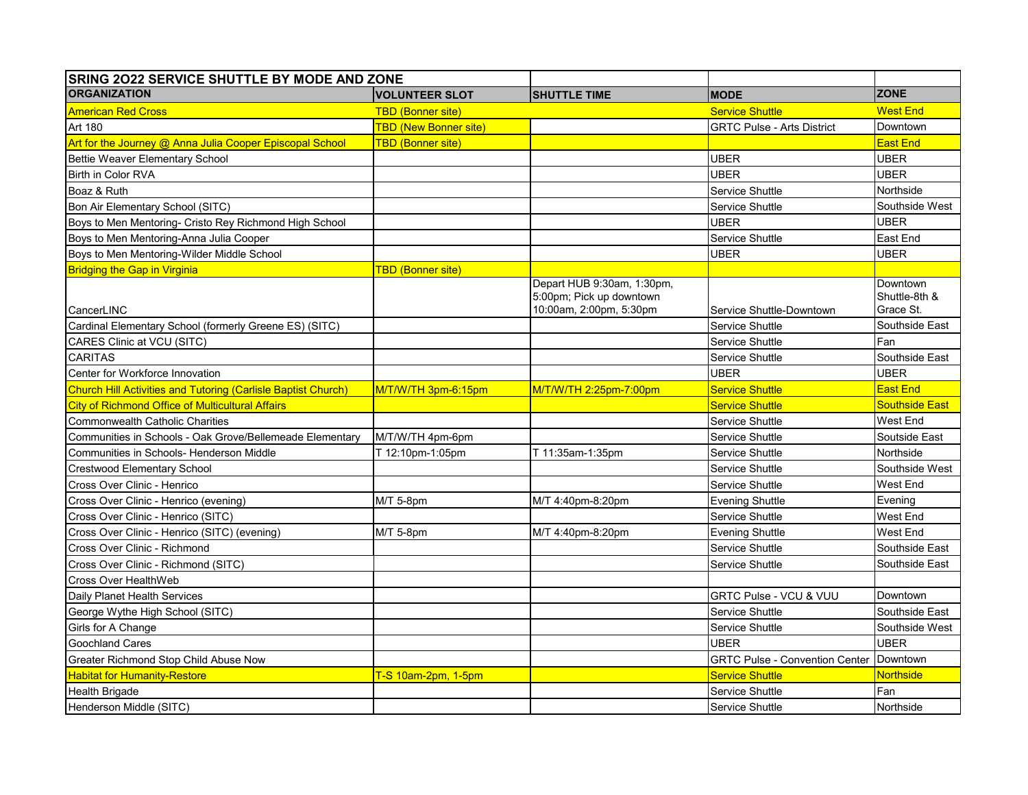| SRING 2022 SERVICE SHUTTLE BY MODE AND ZONE                   |                              |                                                                                   |                                       |                                        |
|---------------------------------------------------------------|------------------------------|-----------------------------------------------------------------------------------|---------------------------------------|----------------------------------------|
| <b>ORGANIZATION</b>                                           | <b>VOLUNTEER SLOT</b>        | <b>SHUTTLE TIME</b>                                                               | <b>MODE</b>                           | <b>ZONE</b>                            |
| <b>American Red Cross</b>                                     | <b>TBD (Bonner site)</b>     |                                                                                   | <b>Service Shuttle</b>                | <b>West End</b>                        |
| Art 180                                                       | <b>TBD (New Bonner site)</b> |                                                                                   | <b>GRTC Pulse - Arts District</b>     | Downtown                               |
| Art for the Journey @ Anna Julia Cooper Episcopal School      | <b>TBD (Bonner site)</b>     |                                                                                   |                                       | <u>East End</u>                        |
| Bettie Weaver Elementary School                               |                              |                                                                                   | UBER                                  | <b>UBER</b>                            |
| Birth in Color RVA                                            |                              |                                                                                   | <b>UBER</b>                           | UBER                                   |
| Boaz & Ruth                                                   |                              |                                                                                   | Service Shuttle                       | Northside                              |
| Bon Air Elementary School (SITC)                              |                              |                                                                                   | Service Shuttle                       | Southside West                         |
| Boys to Men Mentoring- Cristo Rey Richmond High School        |                              |                                                                                   | <b>UBER</b>                           | <b>UBER</b>                            |
| Boys to Men Mentoring-Anna Julia Cooper                       |                              |                                                                                   | Service Shuttle                       | East End                               |
| Boys to Men Mentoring-Wilder Middle School                    |                              |                                                                                   | UBER                                  | UBER                                   |
| <b>Bridging the Gap in Virginia</b>                           | <b>TBD (Bonner site)</b>     |                                                                                   |                                       |                                        |
| CancerLINC                                                    |                              | Depart HUB 9:30am, 1:30pm,<br>5:00pm; Pick up downtown<br>10:00am, 2:00pm, 5:30pm | Service Shuttle-Downtown              | Downtown<br>Shuttle-8th &<br>Grace St. |
| Cardinal Elementary School (formerly Greene ES) (SITC)        |                              |                                                                                   | Service Shuttle                       | Southside East                         |
| CARES Clinic at VCU (SITC)                                    |                              |                                                                                   | Service Shuttle                       | Fan                                    |
| <b>CARITAS</b>                                                |                              |                                                                                   | Service Shuttle                       | Southside East                         |
| Center for Workforce Innovation                               |                              |                                                                                   | <b>UBER</b>                           | UBER                                   |
| Church Hill Activities and Tutoring (Carlisle Baptist Church) | M/T/W/TH 3pm-6:15pm          | M/T/W/TH 2:25pm-7:00pm                                                            | <b>Service Shuttle</b>                | <b>East End</b>                        |
| <b>City of Richmond Office of Multicultural Affairs</b>       |                              |                                                                                   | <b>Service Shuttle</b>                | Southside East                         |
| <b>Commonwealth Catholic Charities</b>                        |                              |                                                                                   | Service Shuttle                       | West End                               |
| Communities in Schools - Oak Grove/Bellemeade Elementary      | M/T/W/TH 4pm-6pm             |                                                                                   | Service Shuttle                       | Soutside East                          |
| Communities in Schools- Henderson Middle                      | T 12:10pm-1:05pm             | T 11:35am-1:35pm                                                                  | Service Shuttle                       | Northside                              |
| <b>Crestwood Elementary School</b>                            |                              |                                                                                   | Service Shuttle                       | Southside West                         |
| Cross Over Clinic - Henrico                                   |                              |                                                                                   | Service Shuttle                       | West End                               |
| Cross Over Clinic - Henrico (evening)                         | M/T 5-8pm                    | M/T 4:40pm-8:20pm                                                                 | Evening Shuttle                       | Evening                                |
| Cross Over Clinic - Henrico (SITC)                            |                              |                                                                                   | Service Shuttle                       | West End                               |
| Cross Over Clinic - Henrico (SITC) (evening)                  | M/T 5-8pm                    | M/T 4:40pm-8:20pm                                                                 | <b>Evening Shuttle</b>                | West End                               |
| Cross Over Clinic - Richmond                                  |                              |                                                                                   | Service Shuttle                       | Southside East                         |
| Cross Over Clinic - Richmond (SITC)                           |                              |                                                                                   | Service Shuttle                       | Southside East                         |
| Cross Over HealthWeb                                          |                              |                                                                                   |                                       |                                        |
| Daily Planet Health Services                                  |                              |                                                                                   | <b>GRTC Pulse - VCU &amp; VUU</b>     | Downtown                               |
| George Wythe High School (SITC)                               |                              |                                                                                   | Service Shuttle                       | Southside East                         |
| Girls for A Change                                            |                              |                                                                                   | Service Shuttle                       | Southside West                         |
| <b>Goochland Cares</b>                                        |                              |                                                                                   | <b>UBER</b>                           | <b>UBER</b>                            |
| Greater Richmond Stop Child Abuse Now                         |                              |                                                                                   | <b>GRTC Pulse - Convention Center</b> | Downtown                               |
| <b>Habitat for Humanity-Restore</b>                           | T-S 10am-2pm, 1-5pm          |                                                                                   | <b>Service Shuttle</b>                | <b>Northside</b>                       |
| <b>Health Brigade</b>                                         |                              |                                                                                   | Service Shuttle                       | Fan                                    |
| Henderson Middle (SITC)                                       |                              |                                                                                   | Service Shuttle                       | Northside                              |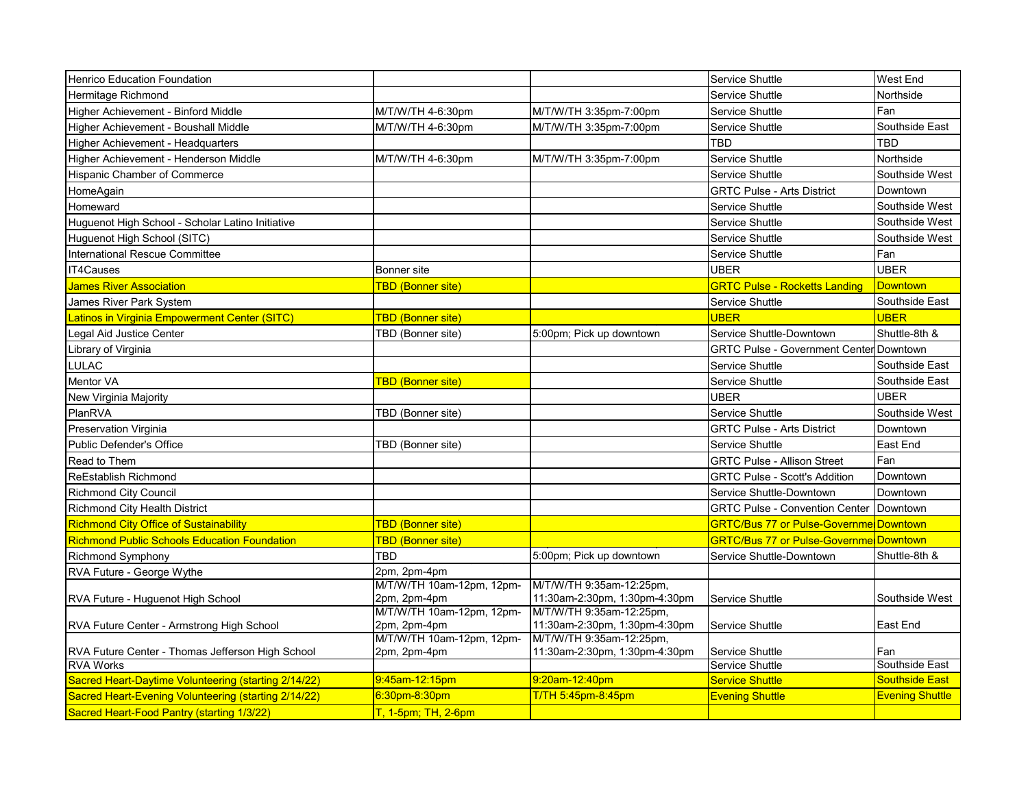| <b>Henrico Education Foundation</b>                  |                                           |                                                           | Service Shuttle                                | West End               |
|------------------------------------------------------|-------------------------------------------|-----------------------------------------------------------|------------------------------------------------|------------------------|
| Hermitage Richmond                                   |                                           |                                                           | Service Shuttle                                | Northside              |
| Higher Achievement - Binford Middle                  | M/T/W/TH 4-6:30pm                         | M/T/W/TH 3:35pm-7:00pm                                    | Service Shuttle                                | Fan                    |
| Higher Achievement - Boushall Middle                 | M/T/W/TH 4-6:30pm                         | M/T/W/TH 3:35pm-7:00pm                                    | Service Shuttle                                | Southside East         |
| Higher Achievement - Headquarters                    |                                           |                                                           | <b>TBD</b>                                     | TBD                    |
| Higher Achievement - Henderson Middle                | M/T/W/TH 4-6:30pm                         | M/T/W/TH 3:35pm-7:00pm                                    | Service Shuttle                                | Northside              |
| <b>Hispanic Chamber of Commerce</b>                  |                                           |                                                           | Service Shuttle                                | Southside West         |
| HomeAgain                                            |                                           |                                                           | <b>GRTC Pulse - Arts District</b>              | Downtown               |
| Homeward                                             |                                           |                                                           | Service Shuttle                                | Southside West         |
| Huguenot High School - Scholar Latino Initiative     |                                           |                                                           | Service Shuttle                                | Southside West         |
| Huguenot High School (SITC)                          |                                           |                                                           | Service Shuttle                                | Southside West         |
| International Rescue Committee                       |                                           |                                                           | Service Shuttle                                | Fan                    |
| <b>IT4Causes</b>                                     | Bonner site                               |                                                           | <b>UBER</b>                                    | <b>UBER</b>            |
| <b>James River Association</b>                       | <mark>TBD (Bonner site)</mark>            |                                                           | <b>GRTC Pulse - Rocketts Landing</b>           | <b>Downtown</b>        |
| James River Park System                              |                                           |                                                           | Service Shuttle                                | Southside East         |
| Latinos in Virginia Empowerment Center (SITC)        | TBD (Bonner site)                         |                                                           | <b>UBER</b>                                    | <b>UBER</b>            |
| Legal Aid Justice Center                             | TBD (Bonner site)                         | 5:00pm; Pick up downtown                                  | Service Shuttle-Downtown                       | Shuttle-8th &          |
| Library of Virginia                                  |                                           |                                                           | <b>GRTC Pulse - Government Center Downtown</b> |                        |
| <b>LULAC</b>                                         |                                           |                                                           | Service Shuttle                                | Southside East         |
| Mentor VA                                            | TBD (Bonner site)                         |                                                           | Service Shuttle                                | Southside East         |
| New Virginia Majority                                |                                           |                                                           | <b>UBER</b>                                    | <b>UBER</b>            |
| PlanRVA                                              | TBD (Bonner site)                         |                                                           | Service Shuttle                                | Southside West         |
| <b>Preservation Virginia</b>                         |                                           |                                                           | <b>GRTC Pulse - Arts District</b>              | Downtown               |
| Public Defender's Office                             | TBD (Bonner site)                         |                                                           | Service Shuttle                                | East End               |
| Read to Them                                         |                                           |                                                           | <b>GRTC Pulse - Allison Street</b>             | Fan                    |
| <b>ReEstablish Richmond</b>                          |                                           |                                                           | <b>GRTC Pulse - Scott's Addition</b>           | Downtown               |
| <b>Richmond City Council</b>                         |                                           |                                                           | Service Shuttle-Downtown                       | Downtown               |
| Richmond City Health District                        |                                           |                                                           | <b>GRTC Pulse - Convention Center</b>          | Downtown               |
| <b>Richmond City Office of Sustainability</b>        | TBD (Bonner site)                         |                                                           | <b>GRTC/Bus 77 or Pulse-Governme Downtown</b>  |                        |
| <b>Richmond Public Schools Education Foundation</b>  | <u> TBD (Bonner site)</u>                 |                                                           | <b>GRTC/Bus 77 or Pulse-Governme Downtown</b>  |                        |
| <b>Richmond Symphony</b>                             | TBD                                       | 5:00pm; Pick up downtown                                  | Service Shuttle-Downtown                       | Shuttle-8th &          |
| RVA Future - George Wythe                            | 2pm, 2pm-4pm                              |                                                           |                                                |                        |
|                                                      | M/T/W/TH 10am-12pm, 12pm-                 | M/T/W/TH 9:35am-12:25pm,                                  |                                                |                        |
| RVA Future - Huguenot High School                    | 2pm, 2pm-4pm<br>M/T/W/TH 10am-12pm, 12pm- | 11:30am-2:30pm, 1:30pm-4:30pm<br>M/T/W/TH 9:35am-12:25pm, | Service Shuttle                                | Southside West         |
| RVA Future Center - Armstrong High School            | 2pm, 2pm-4pm                              | 11:30am-2:30pm, 1:30pm-4:30pm                             | Service Shuttle                                | East End               |
|                                                      | M/T/W/TH 10am-12pm, 12pm-                 | M/T/W/TH 9:35am-12:25pm,                                  |                                                |                        |
| RVA Future Center - Thomas Jefferson High School     | 2pm, 2pm-4pm                              | 11:30am-2:30pm, 1:30pm-4:30pm                             | Service Shuttle                                | lFan                   |
| <b>RVA Works</b>                                     |                                           |                                                           | Service Shuttle                                | Southside East         |
| Sacred Heart-Daytime Volunteering (starting 2/14/22) | 9:45am-12:15pm                            | 9:20am-12:40pm                                            | <b>Service Shuttle</b>                         | <b>Southside East</b>  |
| Sacred Heart-Evening Volunteering (starting 2/14/22) | 6:30pm-8:30pm                             | T/TH 5:45pm-8:45pm                                        | <b>Evening Shuttle</b>                         | <b>Evening Shuttle</b> |
| Sacred Heart-Food Pantry (starting 1/3/22)           | $T, 1-5$ pm; TH, 2-6pm                    |                                                           |                                                |                        |